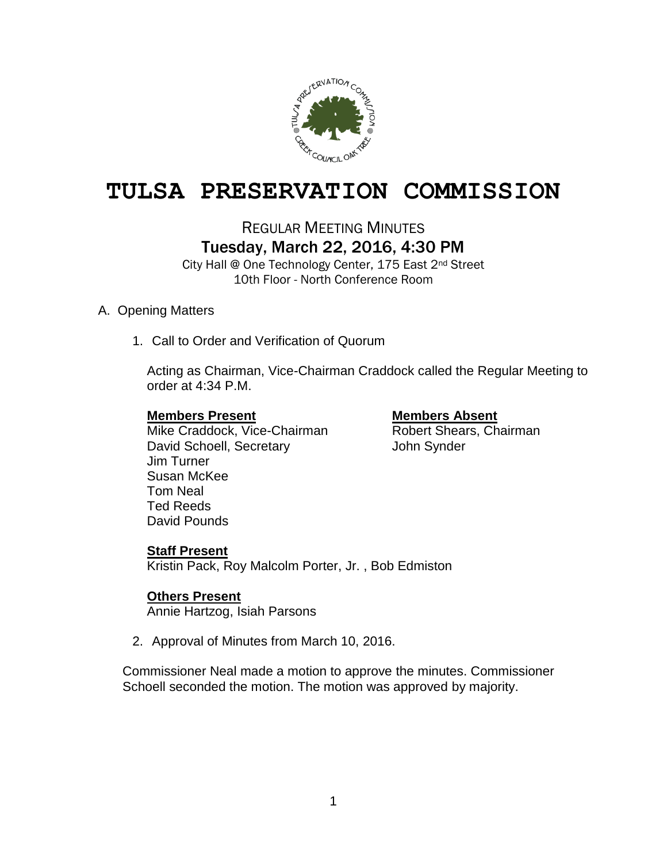

# **TULSA PRESERVATION COMMISSION**

REGULAR MEETING MINUTES

## Tuesday, March 22, 2016, 4:30 PM

City Hall @ One Technology Center, 175 East 2nd Street 10th Floor - North Conference Room

### A. Opening Matters

1. Call to Order and Verification of Quorum

Acting as Chairman, Vice-Chairman Craddock called the Regular Meeting to order at 4:34 P.M.

### **Members Present Members Absent**

Mike Craddock, Vice-Chairman Robert Shears, Chairman David Schoell, Secretary **Canada and Synder** John Synder Jim Turner Susan McKee Tom Neal Ted Reeds David Pounds

### **Staff Present**

Kristin Pack, Roy Malcolm Porter, Jr. , Bob Edmiston

### **Others Present**

Annie Hartzog, Isiah Parsons

2. Approval of Minutes from March 10, 2016.

Commissioner Neal made a motion to approve the minutes. Commissioner Schoell seconded the motion. The motion was approved by majority.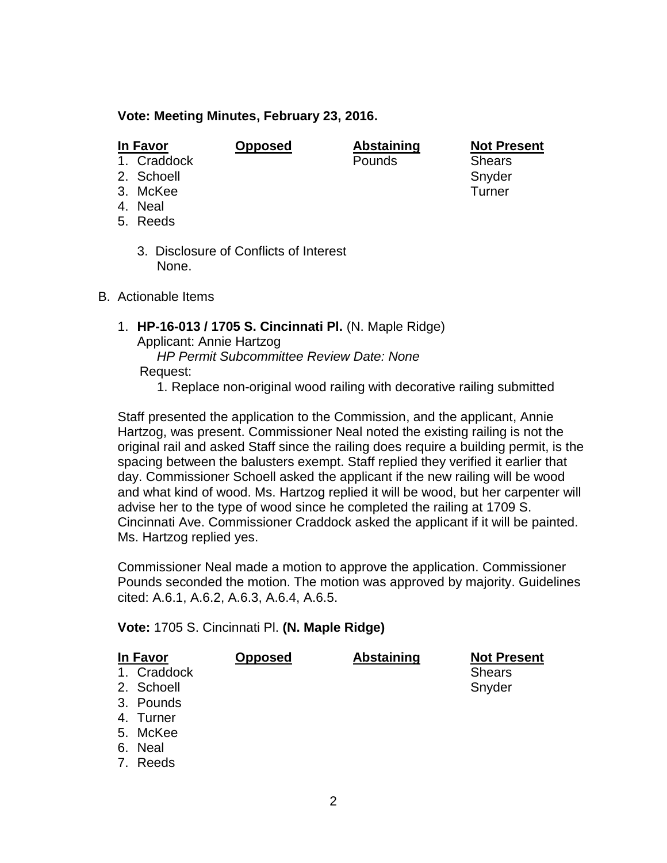#### **Vote: Meeting Minutes, February 23, 2016.**

**In Favor Opposed Abstaining Not Present**

- 1. Craddock Pounds Shears
- 2. Schoell Snyder Snyder Snyder Snyder Snyder
- 3. McKee Turner
- 4. Neal
- 5. Reeds
	- 3. Disclosure of Conflicts of Interest None.
- B. Actionable Items
	- 1. **HP-16-013 / 1705 S. Cincinnati Pl.** (N. Maple Ridge) Applicant: Annie Hartzog
		- *HP Permit Subcommittee Review Date: None* Request:
			- 1. Replace non-original wood railing with decorative railing submitted

Staff presented the application to the Commission, and the applicant, Annie Hartzog, was present. Commissioner Neal noted the existing railing is not the original rail and asked Staff since the railing does require a building permit, is the spacing between the balusters exempt. Staff replied they verified it earlier that day. Commissioner Schoell asked the applicant if the new railing will be wood and what kind of wood. Ms. Hartzog replied it will be wood, but her carpenter will advise her to the type of wood since he completed the railing at 1709 S. Cincinnati Ave. Commissioner Craddock asked the applicant if it will be painted. Ms. Hartzog replied yes.

Commissioner Neal made a motion to approve the application. Commissioner Pounds seconded the motion. The motion was approved by majority. Guidelines cited: A.6.1, A.6.2, A.6.3, A.6.4, A.6.5.

**Vote:** 1705 S. Cincinnati Pl. **(N. Maple Ridge)**

| In Favor    | <b>Opposed</b> | Abstaining | <b>Not Present</b> |
|-------------|----------------|------------|--------------------|
| 1. Craddock |                |            | <b>Shears</b>      |
| 2. Schoell  |                |            | Snyder             |
| 3. Pounds   |                |            |                    |
| 4. Turner   |                |            |                    |
| 5. McKee    |                |            |                    |
| 6. Neal     |                |            |                    |
| 7. Reeds    |                |            |                    |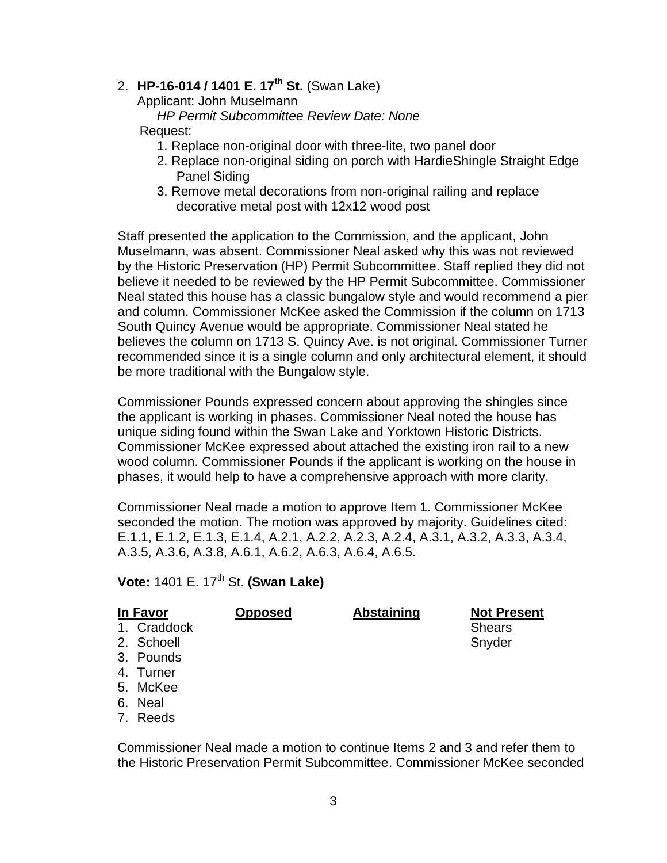## 2. **HP-16-014 / 1401 E. 17th St.** (Swan Lake)

Applicant: John Muselmann

*HP Permit Subcommittee Review Date: None*

### Request:

- 1. Replace non-original door with three-lite, two panel door
- 2. Replace non-original siding on porch with HardieShingle Straight Edge Panel Siding
- 3. Remove metal decorations from non-original railing and replace decorative metal post with 12x12 wood post

Staff presented the application to the Commission, and the applicant, John Muselmann, was absent. Commissioner Neal asked why this was not reviewed by the Historic Preservation (HP) Permit Subcommittee. Staff replied they did not believe it needed to be reviewed by the HP Permit Subcommittee. Commissioner Neal stated this house has a classic bungalow style and would recommend a pier and column. Commissioner McKee asked the Commission if the column on 1713 South Quincy Avenue would be appropriate. Commissioner Neal stated he believes the column on 1713 S. Quincy Ave. is not original. Commissioner Turner recommended since it is a single column and only architectural element, it should be more traditional with the Bungalow style.

Commissioner Pounds expressed concern about approving the shingles since the applicant is working in phases. Commissioner Neal noted the house has unique siding found within the Swan Lake and Yorktown Historic Districts. Commissioner McKee expressed about attached the existing iron rail to a new wood column. Commissioner Pounds if the applicant is working on the house in phases, it would help to have a comprehensive approach with more clarity.

Commissioner Neal made a motion to approve Item 1. Commissioner McKee seconded the motion. The motion was approved by majority. Guidelines cited: E.1.1, E.1.2, E.1.3, E.1.4, A.2.1, A.2.2, A.2.3, A.2.4, A.3.1, A.3.2, A.3.3, A.3.4, A.3.5, A.3.6, A.3.8, A.6.1, A.6.2, A.6.3, A.6.4, A.6.5.

**Vote: 1401 E. 17<sup>th</sup> St. <b>(Swan Lake)** 

| In Favor    | <b>Opposed</b> | <b>Abstaining</b> | <b>Not Present</b> |
|-------------|----------------|-------------------|--------------------|
| 1. Craddock |                |                   | <b>Shears</b>      |
| 2. Schoell  |                |                   | Snyder             |
| 3. Pounds   |                |                   |                    |
| 4. Turner   |                |                   |                    |
| 5. McKee    |                |                   |                    |
| 6. Neal     |                |                   |                    |

7. Reeds

Commissioner Neal made a motion to continue Items 2 and 3 and refer them to the Historic Preservation Permit Subcommittee. Commissioner McKee seconded